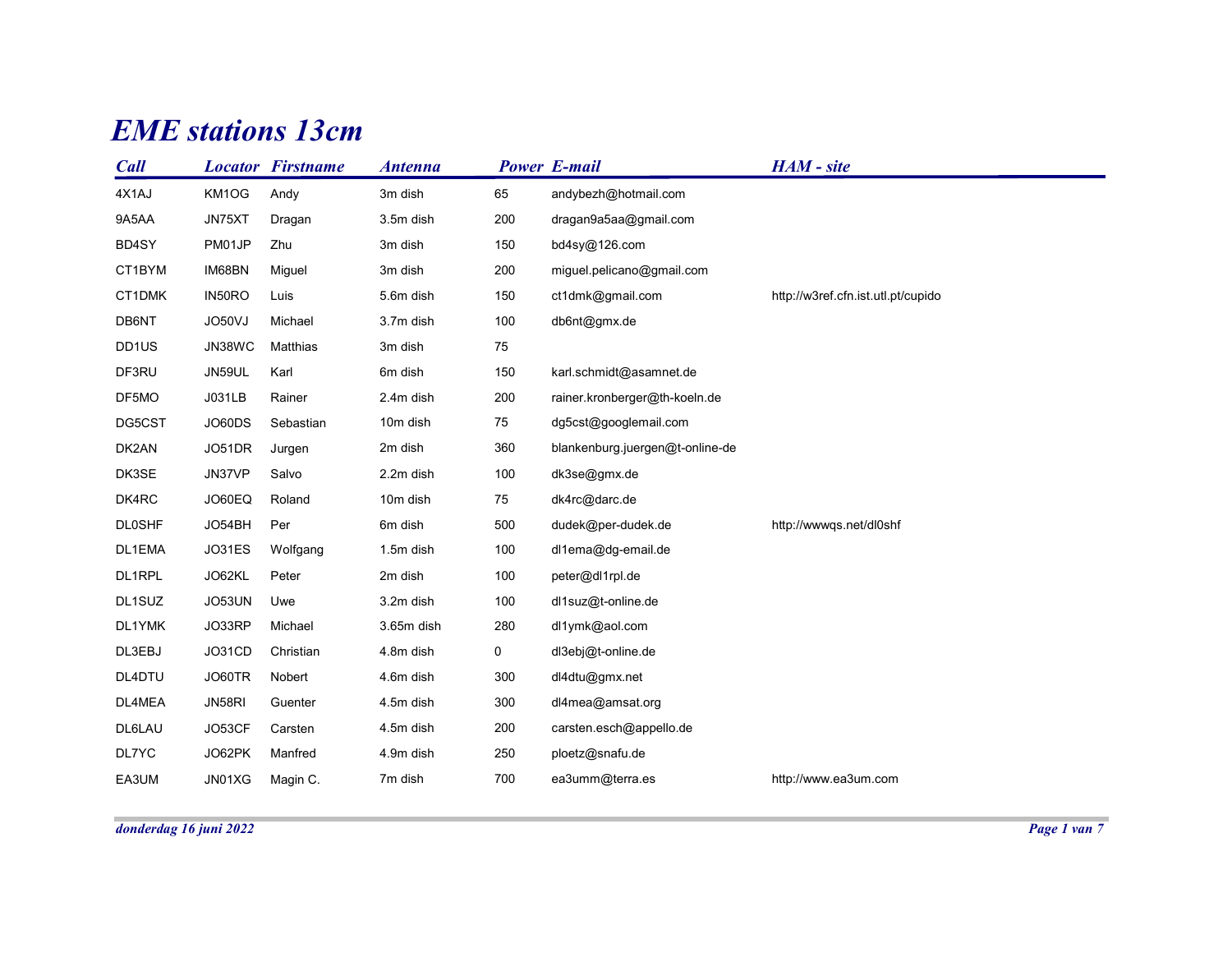## EME stations 13cm

|                |                 | <b>EME</b> stations 13cm |                      |             |                                               |                                    |  |
|----------------|-----------------|--------------------------|----------------------|-------------|-----------------------------------------------|------------------------------------|--|
|                |                 |                          |                      |             |                                               |                                    |  |
| <b>Call</b>    |                 | <b>Locator Firstname</b> | <b>Antenna</b>       |             | <b>Power E-mail</b>                           | HAM - site                         |  |
| 4X1AJ<br>9A5AA | KM1OG<br>JN75XT | Andy<br>Dragan           | 3m dish<br>3.5m dish | 65<br>200   | andybezh@hotmail.com<br>dragan9a5aa@gmail.com |                                    |  |
| BD4SY          | PM01JP          | Zhu                      | 3m dish              | 150         | bd4sy@126.com                                 |                                    |  |
| CT1BYM         | IM68BN          | Miguel                   | 3m dish              | 200         | miguel.pelicano@gmail.com                     |                                    |  |
| CT1DMK         | IN50RO          | Luis                     | 5.6m dish            | 150         | ct1dmk@gmail.com                              | http://w3ref.cfn.ist.utl.pt/cupido |  |
| DB6NT          | JO50VJ          | Michael                  | 3.7m dish            | 100         | db6nt@gmx.de                                  |                                    |  |
| DD1US          | JN38WC          | Matthias                 | 3m dish              | 75          |                                               |                                    |  |
| DF3RU          | JN59UL          | Karl                     | 6m dish              | 150         | karl.schmidt@asamnet.de                       |                                    |  |
| DF5MO          | J031LB          | Rainer                   | 2.4m dish            | 200         | rainer.kronberger@th-koeln.de                 |                                    |  |
| DG5CST         | JO60DS          | Sebastian                | 10m dish             | 75          | dg5cst@googlemail.com                         |                                    |  |
| DK2AN          | JO51DR          | Jurgen                   | 2m dish              | 360         | blankenburg.juergen@t-online-de               |                                    |  |
| DK3SE          | JN37VP          | Salvo                    | 2.2m dish            | 100         | dk3se@gmx.de                                  |                                    |  |
| DK4RC          | JO60EQ          | Roland                   | 10m dish             | 75          | dk4rc@darc.de                                 |                                    |  |
| <b>DL0SHF</b>  | JO54BH          | Per                      | 6m dish              | 500         | dudek@per-dudek.de                            | http://wwwqs.net/dl0shf            |  |
| DL1EMA         | JO31ES          | Wolfgang                 | 1.5m dish            | 100         | dl1ema@dg-email.de                            |                                    |  |
| DL1RPL         | JO62KL          | Peter                    | 2m dish              | 100         | peter@dl1rpl.de                               |                                    |  |
| DL1SUZ         | JO53UN          | Uwe                      | 3.2m dish            | 100         | dl1suz@t-online.de                            |                                    |  |
| DL1YMK         | JO33RP          | Michael                  | 3.65m dish           | 280         | dl1ymk@aol.com                                |                                    |  |
| DL3EBJ         | JO31CD          | Christian                | 4.8m dish            | $\mathbf 0$ | dl3ebj@t-online.de                            |                                    |  |
| DL4DTU         | JO60TR          | Nobert                   | 4.6m dish            | 300         | dl4dtu@gmx.net                                |                                    |  |
| DL4MEA         | JN58RI          | Guenter                  | 4.5m dish            | 300         | dl4mea@amsat.org                              |                                    |  |
| DL6LAU         | JO53CF          | Carsten                  | 4.5m dish            | 200         | carsten.esch@appello.de                       |                                    |  |
| DL7YC          | JO62PK          | Manfred                  | 4.9m dish            | 250         | ploetz@snafu.de                               |                                    |  |
| EA3UM          | JN01XG          | Magin C.                 | 7m dish              | 700         | ea3umm@terra.es                               | http://www.ea3um.com               |  |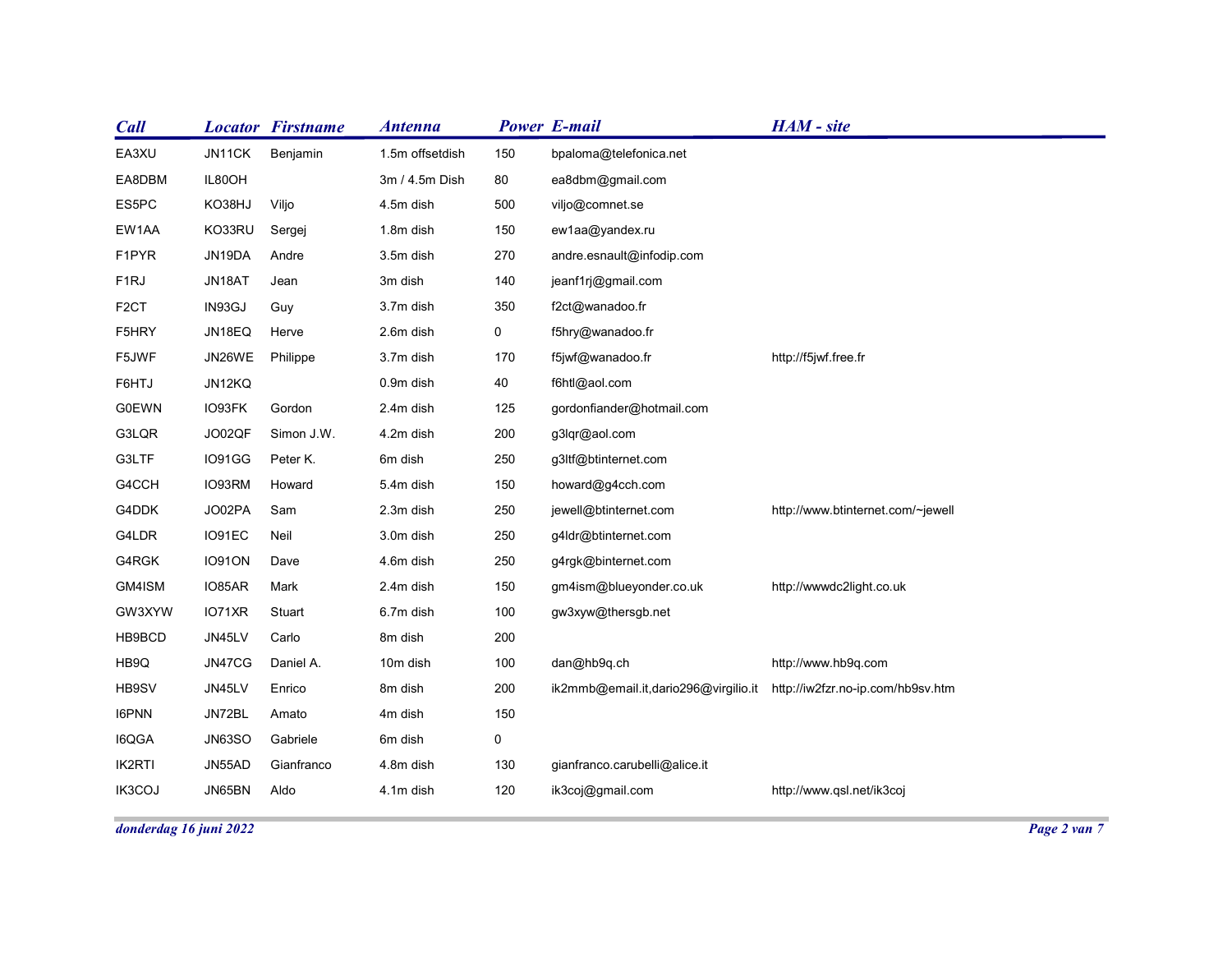| IL80OH |                                                                                                  | 3m / 4.5m Dish                                                                                                                                | 80                                                                                                                                            |                                                                     |                                                                                                                                                                                                                                |                                                                                                                                 |
|--------|--------------------------------------------------------------------------------------------------|-----------------------------------------------------------------------------------------------------------------------------------------------|-----------------------------------------------------------------------------------------------------------------------------------------------|---------------------------------------------------------------------|--------------------------------------------------------------------------------------------------------------------------------------------------------------------------------------------------------------------------------|---------------------------------------------------------------------------------------------------------------------------------|
| KO38HJ | Viljo                                                                                            | 4.5m dish                                                                                                                                     | 500                                                                                                                                           | viljo@comnet.se                                                     |                                                                                                                                                                                                                                |                                                                                                                                 |
| KO33RU | Sergej                                                                                           | 1.8m dish                                                                                                                                     | 150                                                                                                                                           | ew1aa@yandex.ru                                                     |                                                                                                                                                                                                                                |                                                                                                                                 |
| JN19DA | Andre                                                                                            | 3.5m dish                                                                                                                                     | 270                                                                                                                                           | andre.esnault@infodip.com                                           |                                                                                                                                                                                                                                |                                                                                                                                 |
| JN18AT | Jean                                                                                             | 3m dish                                                                                                                                       | 140                                                                                                                                           | jeanf1rj@gmail.com                                                  |                                                                                                                                                                                                                                |                                                                                                                                 |
| IN93GJ | Guy                                                                                              | 3.7m dish                                                                                                                                     | 350                                                                                                                                           | f2ct@wanadoo.fr                                                     |                                                                                                                                                                                                                                |                                                                                                                                 |
| JN18EQ | Herve                                                                                            | 2.6m dish                                                                                                                                     | 0                                                                                                                                             | f5hry@wanadoo.fr                                                    |                                                                                                                                                                                                                                |                                                                                                                                 |
| JN26WE |                                                                                                  | 3.7m dish                                                                                                                                     | 170                                                                                                                                           | f5jwf@wanadoo.fr                                                    | http://f5jwf.free.fr                                                                                                                                                                                                           |                                                                                                                                 |
| JN12KQ |                                                                                                  | 0.9m dish                                                                                                                                     | 40                                                                                                                                            | f6htl@aol.com                                                       |                                                                                                                                                                                                                                |                                                                                                                                 |
| IO93FK | Gordon                                                                                           | 2.4m dish                                                                                                                                     | 125                                                                                                                                           | gordonfiander@hotmail.com                                           |                                                                                                                                                                                                                                |                                                                                                                                 |
| JO02QF | Simon J.W.                                                                                       | 4.2m dish                                                                                                                                     | 200                                                                                                                                           | g3lqr@aol.com                                                       |                                                                                                                                                                                                                                |                                                                                                                                 |
| IO91GG | Peter K.                                                                                         | 6m dish                                                                                                                                       | 250                                                                                                                                           | g3ltf@btinternet.com                                                |                                                                                                                                                                                                                                |                                                                                                                                 |
| IO93RM | Howard                                                                                           | 5.4m dish                                                                                                                                     | 150                                                                                                                                           | howard@g4cch.com                                                    |                                                                                                                                                                                                                                |                                                                                                                                 |
| JO02PA | Sam                                                                                              | 2.3m dish                                                                                                                                     | 250                                                                                                                                           | jewell@btinternet.com                                               | http://www.btinternet.com/~jewell                                                                                                                                                                                              |                                                                                                                                 |
| IO91EC | Neil                                                                                             | 3.0m dish                                                                                                                                     | 250                                                                                                                                           | g4ldr@btinternet.com                                                |                                                                                                                                                                                                                                |                                                                                                                                 |
| IO91ON | Dave                                                                                             | 4.6m dish                                                                                                                                     | 250                                                                                                                                           | g4rgk@binternet.com                                                 |                                                                                                                                                                                                                                |                                                                                                                                 |
|        |                                                                                                  |                                                                                                                                               | 150                                                                                                                                           |                                                                     |                                                                                                                                                                                                                                |                                                                                                                                 |
|        |                                                                                                  |                                                                                                                                               |                                                                                                                                               |                                                                     |                                                                                                                                                                                                                                |                                                                                                                                 |
|        |                                                                                                  |                                                                                                                                               |                                                                                                                                               |                                                                     |                                                                                                                                                                                                                                |                                                                                                                                 |
|        |                                                                                                  |                                                                                                                                               |                                                                                                                                               |                                                                     |                                                                                                                                                                                                                                |                                                                                                                                 |
|        |                                                                                                  |                                                                                                                                               |                                                                                                                                               |                                                                     |                                                                                                                                                                                                                                |                                                                                                                                 |
|        |                                                                                                  |                                                                                                                                               |                                                                                                                                               |                                                                     |                                                                                                                                                                                                                                |                                                                                                                                 |
|        |                                                                                                  |                                                                                                                                               |                                                                                                                                               |                                                                     |                                                                                                                                                                                                                                |                                                                                                                                 |
|        |                                                                                                  |                                                                                                                                               |                                                                                                                                               |                                                                     |                                                                                                                                                                                                                                |                                                                                                                                 |
|        |                                                                                                  |                                                                                                                                               |                                                                                                                                               |                                                                     |                                                                                                                                                                                                                                |                                                                                                                                 |
|        | JN11CK<br>IO85AR<br>IO71XR<br>JN45LV<br>JN47CG<br>JN45LV<br>JN72BL<br>JN63SO<br>JN55AD<br>JN65BN | <b>Locator Firstname</b><br>Benjamin<br>Philippe<br>Mark<br>Stuart<br>Carlo<br>Daniel A.<br>Enrico<br>Amato<br>Gabriele<br>Gianfranco<br>Aldo | <b>Antenna</b><br>1.5m offsetdish<br>2.4m dish<br>6.7m dish<br>8m dish<br>10m dish<br>8m dish<br>4m dish<br>6m dish<br>4.8m dish<br>4.1m dish | 150<br>100<br>200<br>100<br>200<br>150<br>$\mathbf 0$<br>130<br>120 | <b>Power E-mail</b><br>bpaloma@telefonica.net<br>ea8dbm@gmail.com<br>gm4ism@blueyonder.co.uk<br>gw3xyw@thersgb.net<br>dan@hb9q.ch<br>ik2mmb@email.it,dario296@virgilio.it<br>gianfranco.carubelli@alice.it<br>ik3coj@gmail.com | HAM - site<br>http://wwwdc2light.co.uk<br>http://www.hb9q.com<br>http://iw2fzr.no-ip.com/hb9sv.htm<br>http://www.qsl.net/ik3coj |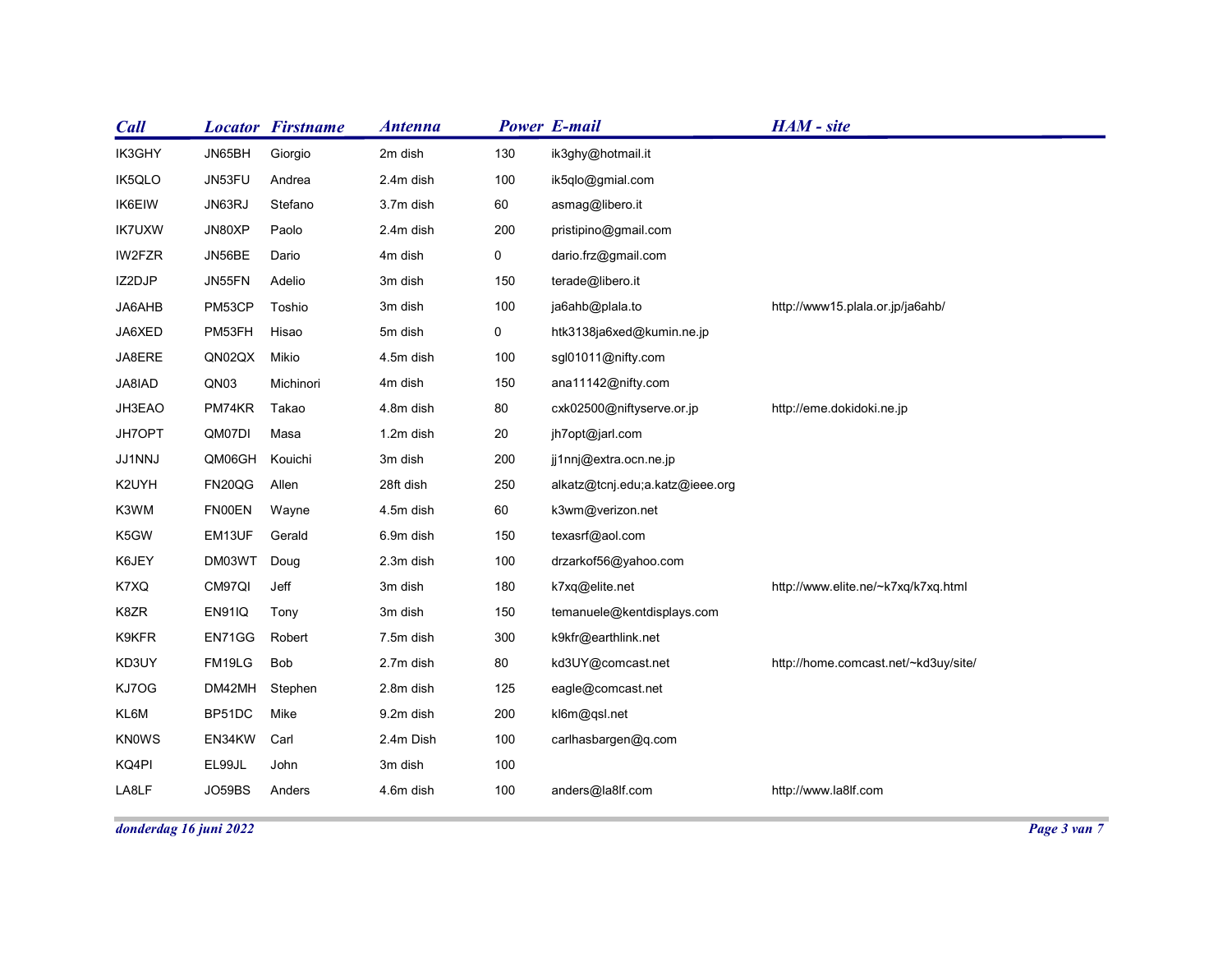| <b>Call</b>   | <b>Locator Firstname</b>      | <b>Antenna</b>       |            | <b>Power E-mail</b>                     | HAM - site                           |  |
|---------------|-------------------------------|----------------------|------------|-----------------------------------------|--------------------------------------|--|
| IK3GHY        | JN65BH<br>Giorgio             | 2m dish              | 130        | ik3ghy@hotmail.it                       |                                      |  |
| IK5QLO        | JN53FU<br>Andrea              | 2.4m dish            | 100        | ik5qlo@gmial.com                        |                                      |  |
| IK6EIW        | JN63RJ<br>Stefano             | 3.7m dish            | 60         | asmag@libero.it                         |                                      |  |
| <b>IK7UXW</b> | JN80XP<br>Paolo               | 2.4m dish            | 200        | pristipino@gmail.com                    |                                      |  |
| IW2FZR        | JN56BE<br>Dario               | 4m dish              | 0          | dario.frz@gmail.com                     |                                      |  |
| IZ2DJP        | JN55FN<br>Adelio              | 3m dish              | 150        | terade@libero.it                        |                                      |  |
| JA6AHB        | PM53CP<br>Toshio              | 3m dish              | 100        | ja6ahb@plala.to                         | http://www15.plala.or.jp/ja6ahb/     |  |
| JA6XED        | PM53FH<br>Hisao               | 5m dish              | 0          | htk3138ja6xed@kumin.ne.jp               |                                      |  |
| JA8ERE        | QN02QX<br>Mikio               | 4.5m dish            | 100        | sgl01011@nifty.com                      |                                      |  |
| JA8IAD        | QN03<br>Michinori             | 4m dish              | 150        | ana11142@nifty.com                      |                                      |  |
| JH3EAO        | PM74KR<br>Takao               | 4.8m dish            | 80         | cxk02500@niftyserve.or.jp               | http://eme.dokidoki.ne.jp            |  |
| JH7OPT        | QM07DI<br>Masa                | 1.2m dish            | $20\,$     | jh7opt@jarl.com                         |                                      |  |
| JJ1NNJ        | QM06GH<br>Kouichi             | 3m dish              | 200        | jj1nnj@extra.ocn.ne.jp                  |                                      |  |
| K2UYH         | FN20QG<br>Allen               | 28ft dish            | 250        | alkatz@tcnj.edu;a.katz@ieee.org         |                                      |  |
| K3WM          | <b>FN00EN</b><br>Wayne        | 4.5m dish            | 60         | k3wm@verizon.net                        |                                      |  |
| K5GW          | EM13UF<br>Gerald              | 6.9m dish            | 150        | texasrf@aol.com<br>drzarkof56@yahoo.com |                                      |  |
| K6JEY<br>K7XQ | DM03WT Doug<br>CM97QI<br>Jeff | 2.3m dish<br>3m dish | 100<br>180 | k7xq@elite.net                          | http://www.elite.ne/~k7xq/k7xq.html  |  |
| K8ZR          | EN91IQ<br>Tony                | 3m dish              | 150        | temanuele@kentdisplays.com              |                                      |  |
| K9KFR         | EN71GG<br>Robert              | 7.5m dish            | 300        | k9kfr@earthlink.net                     |                                      |  |
| KD3UY         | FM19LG<br>Bob                 | 2.7m dish            | 80         | kd3UY@comcast.net                       | http://home.comcast.net/~kd3uy/site/ |  |
| KJ7OG         | DM42MH<br>Stephen             | 2.8m dish            | 125        | eagle@comcast.net                       |                                      |  |
| KL6M          | BP51DC<br>Mike                | 9.2m dish            | 200        | kl6m@qsl.net                            |                                      |  |
| KN0WS         | EN34KW<br>Carl                | 2.4m Dish            | 100        | carlhasbargen@q.com                     |                                      |  |
| KQ4PI         | EL99JL<br>John                | 3m dish              | 100        |                                         |                                      |  |
| LA8LF         | JO59BS<br>Anders              | 4.6m dish            | 100        | anders@la8lf.com                        | http://www.la8lf.com                 |  |
|               |                               |                      |            |                                         |                                      |  |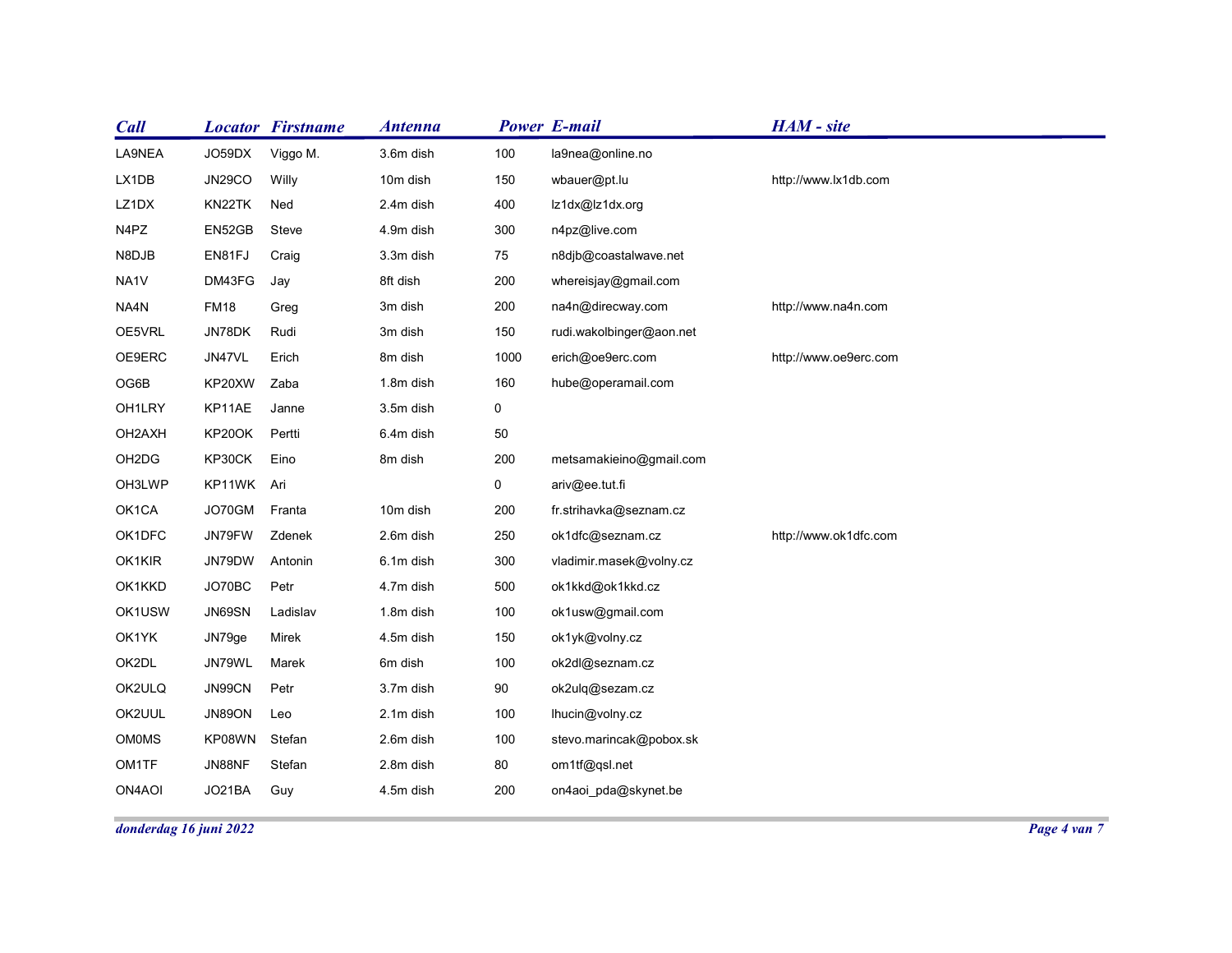| <b>Call</b>            | <b>Locator Firstname</b>            | <b>Antenna</b>         |             | <b>Power E-mail</b>      | HAM - site            |              |
|------------------------|-------------------------------------|------------------------|-------------|--------------------------|-----------------------|--------------|
| LA9NEA                 | JO59DX<br>Viggo M.                  | 3.6m dish              | 100         | la9nea@online.no         |                       |              |
| LX1DB                  | <b>JN29CO</b><br>Willy              | 10m dish               | 150         | wbauer@pt.lu             | http://www.lx1db.com  |              |
| LZ1DX                  | KN22TK<br>Ned                       | 2.4m dish              | 400         | lz1dx@lz1dx.org          |                       |              |
| N4PZ                   | EN52GB<br>Steve                     | 4.9m dish              | 300         | n4pz@live.com            |                       |              |
| N8DJB                  | EN81FJ<br>Craig                     | 3.3m dish              | 75          | n8djb@coastalwave.net    |                       |              |
| NA1V                   | DM43FG<br>Jay                       | 8ft dish               | 200         | whereisjay@gmail.com     |                       |              |
| NA4N                   | <b>FM18</b><br>Greg                 | 3m dish                | 200         | na4n@direcway.com        | http://www.na4n.com   |              |
| OE5VRL                 | JN78DK<br>Rudi                      | 3m dish                | 150         | rudi.wakolbinger@aon.net |                       |              |
| OE9ERC                 | JN47VL<br>Erich                     | 8m dish<br>1.8m dish   | 1000        | erich@oe9erc.com         | http://www.oe9erc.com |              |
| OG6B                   | KP20XW<br>Zaba                      |                        | 160         | hube@operamail.com       |                       |              |
| OH1LRY<br>OH2AXH       | KP11AE<br>Janne<br>Pertti<br>KP20OK | 3.5m dish<br>6.4m dish | 0<br>$50\,$ |                          |                       |              |
| OH2DG                  | KP30CK<br>Eino                      | 8m dish                | 200         | metsamakieino@gmail.com  |                       |              |
| OH3LWP                 | KP11WK Ari                          |                        | $\mathbf 0$ | ariv@ee.tut.fi           |                       |              |
| OK1CA                  | JO70GM Franta                       | 10m dish               | 200         | fr.strihavka@seznam.cz   |                       |              |
| OK1DFC                 | JN79FW<br>Zdenek                    | 2.6m dish              | 250         | ok1dfc@seznam.cz         | http://www.ok1dfc.com |              |
| OK1KIR                 | JN79DW<br>Antonin                   | 6.1m dish              | 300         | vladimir.masek@volny.cz  |                       |              |
| OK1KKD                 | JO70BC<br>Petr                      | 4.7m dish              | 500         | ok1kkd@ok1kkd.cz         |                       |              |
| OK1USW                 | JN69SN<br>Ladislav                  | 1.8m dish              | 100         | ok1usw@gmail.com         |                       |              |
| OK1YK                  | JN79ge<br>Mirek                     | 4.5m dish              | 150         | ok1yk@volny.cz           |                       |              |
| OK2DL                  | JN79WL<br>Marek                     | 6m dish                | 100         | ok2dl@seznam.cz          |                       |              |
| OK2ULQ                 | JN99CN<br>Petr                      | 3.7m dish              | 90          | ok2ulq@sezam.cz          |                       |              |
| OK2UUL                 | JN89ON<br>Leo                       | 2.1m dish              | 100         | lhucin@volny.cz          |                       |              |
| OM0MS                  | KP08WN<br>Stefan                    | 2.6m dish              | 100         | stevo.marincak@pobox.sk  |                       |              |
| <b>OM1TF</b>           | JN88NF<br>Stefan                    | 2.8m dish              | 80          | om1tf@qsl.net            |                       |              |
| ON4AOI                 | JO21BA<br>Guy                       | 4.5m dish              | 200         | on4aoi_pda@skynet.be     |                       |              |
|                        |                                     |                        |             |                          |                       | Page 4 van 7 |
| donderdag 16 juni 2022 |                                     |                        |             |                          |                       |              |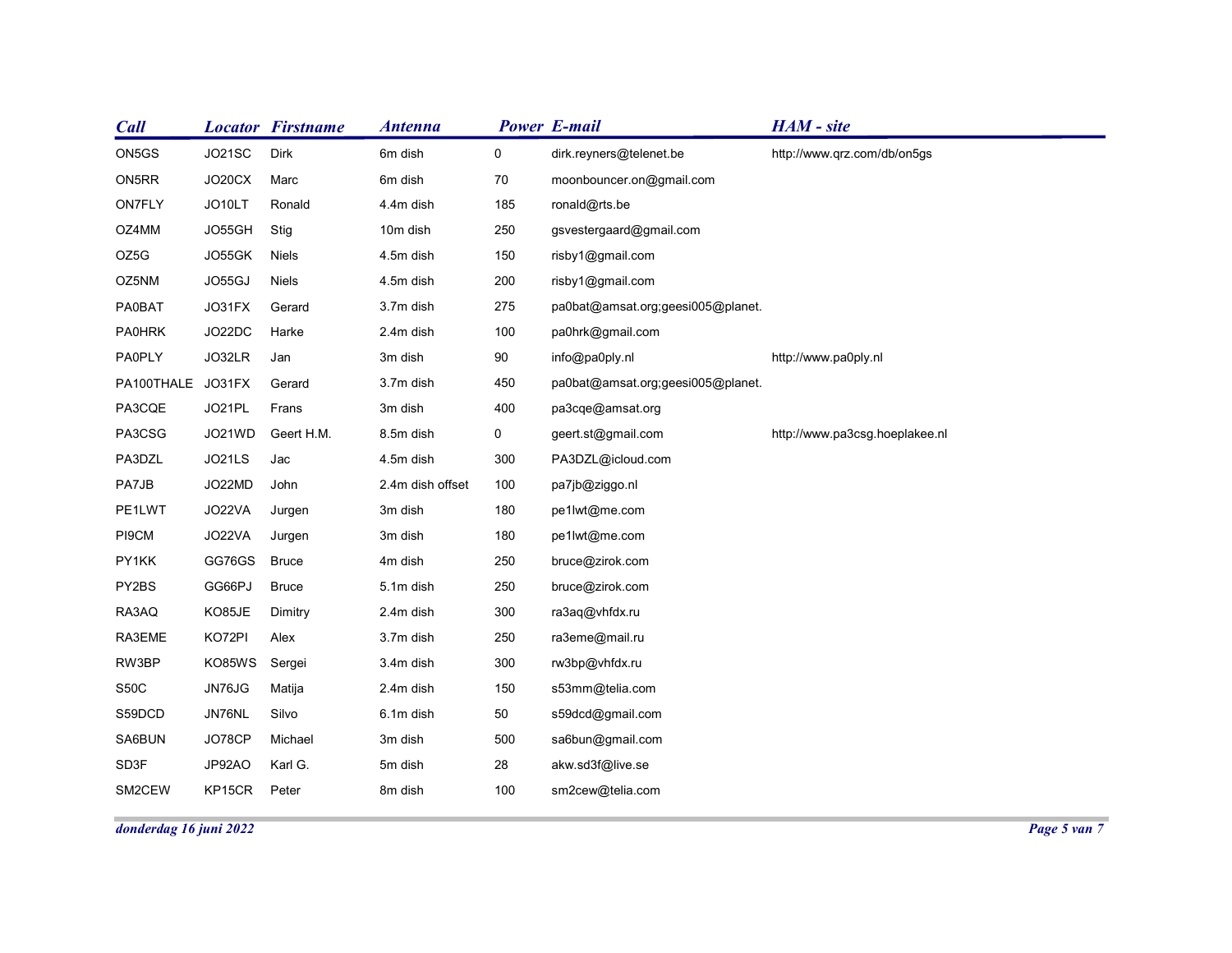|               |                                                                                                                                                                                            | <b>Antenna</b>                                                                                                                                                                                                                 |                                                                                                                                                                                                                                    |                                                                                                                                 | HAM - site                                                                                                                                                                                                                                                                                                                                 |                                                                                                                                  |
|---------------|--------------------------------------------------------------------------------------------------------------------------------------------------------------------------------------------|--------------------------------------------------------------------------------------------------------------------------------------------------------------------------------------------------------------------------------|------------------------------------------------------------------------------------------------------------------------------------------------------------------------------------------------------------------------------------|---------------------------------------------------------------------------------------------------------------------------------|--------------------------------------------------------------------------------------------------------------------------------------------------------------------------------------------------------------------------------------------------------------------------------------------------------------------------------------------|----------------------------------------------------------------------------------------------------------------------------------|
| <b>JO21SC</b> | Dirk                                                                                                                                                                                       | 6m dish                                                                                                                                                                                                                        | $\mathbf 0$                                                                                                                                                                                                                        | dirk.reyners@telenet.be                                                                                                         | http://www.qrz.com/db/on5gs                                                                                                                                                                                                                                                                                                                |                                                                                                                                  |
|               | Marc                                                                                                                                                                                       | 6m dish                                                                                                                                                                                                                        | 70                                                                                                                                                                                                                                 | moonbouncer.on@gmail.com                                                                                                        |                                                                                                                                                                                                                                                                                                                                            |                                                                                                                                  |
|               |                                                                                                                                                                                            |                                                                                                                                                                                                                                |                                                                                                                                                                                                                                    |                                                                                                                                 |                                                                                                                                                                                                                                                                                                                                            |                                                                                                                                  |
|               |                                                                                                                                                                                            |                                                                                                                                                                                                                                |                                                                                                                                                                                                                                    |                                                                                                                                 |                                                                                                                                                                                                                                                                                                                                            |                                                                                                                                  |
|               |                                                                                                                                                                                            |                                                                                                                                                                                                                                |                                                                                                                                                                                                                                    |                                                                                                                                 |                                                                                                                                                                                                                                                                                                                                            |                                                                                                                                  |
|               |                                                                                                                                                                                            |                                                                                                                                                                                                                                |                                                                                                                                                                                                                                    |                                                                                                                                 |                                                                                                                                                                                                                                                                                                                                            |                                                                                                                                  |
|               |                                                                                                                                                                                            |                                                                                                                                                                                                                                |                                                                                                                                                                                                                                    |                                                                                                                                 |                                                                                                                                                                                                                                                                                                                                            |                                                                                                                                  |
|               |                                                                                                                                                                                            |                                                                                                                                                                                                                                |                                                                                                                                                                                                                                    |                                                                                                                                 |                                                                                                                                                                                                                                                                                                                                            |                                                                                                                                  |
|               |                                                                                                                                                                                            |                                                                                                                                                                                                                                |                                                                                                                                                                                                                                    |                                                                                                                                 |                                                                                                                                                                                                                                                                                                                                            |                                                                                                                                  |
|               |                                                                                                                                                                                            |                                                                                                                                                                                                                                |                                                                                                                                                                                                                                    |                                                                                                                                 |                                                                                                                                                                                                                                                                                                                                            |                                                                                                                                  |
|               |                                                                                                                                                                                            |                                                                                                                                                                                                                                |                                                                                                                                                                                                                                    |                                                                                                                                 |                                                                                                                                                                                                                                                                                                                                            |                                                                                                                                  |
|               |                                                                                                                                                                                            |                                                                                                                                                                                                                                |                                                                                                                                                                                                                                    |                                                                                                                                 |                                                                                                                                                                                                                                                                                                                                            |                                                                                                                                  |
|               |                                                                                                                                                                                            |                                                                                                                                                                                                                                |                                                                                                                                                                                                                                    |                                                                                                                                 |                                                                                                                                                                                                                                                                                                                                            |                                                                                                                                  |
|               |                                                                                                                                                                                            |                                                                                                                                                                                                                                |                                                                                                                                                                                                                                    |                                                                                                                                 |                                                                                                                                                                                                                                                                                                                                            |                                                                                                                                  |
|               |                                                                                                                                                                                            |                                                                                                                                                                                                                                |                                                                                                                                                                                                                                    |                                                                                                                                 |                                                                                                                                                                                                                                                                                                                                            |                                                                                                                                  |
|               |                                                                                                                                                                                            |                                                                                                                                                                                                                                |                                                                                                                                                                                                                                    |                                                                                                                                 |                                                                                                                                                                                                                                                                                                                                            |                                                                                                                                  |
|               |                                                                                                                                                                                            |                                                                                                                                                                                                                                |                                                                                                                                                                                                                                    |                                                                                                                                 |                                                                                                                                                                                                                                                                                                                                            |                                                                                                                                  |
|               |                                                                                                                                                                                            |                                                                                                                                                                                                                                |                                                                                                                                                                                                                                    |                                                                                                                                 |                                                                                                                                                                                                                                                                                                                                            |                                                                                                                                  |
|               |                                                                                                                                                                                            |                                                                                                                                                                                                                                |                                                                                                                                                                                                                                    |                                                                                                                                 |                                                                                                                                                                                                                                                                                                                                            |                                                                                                                                  |
|               | Sergei                                                                                                                                                                                     | 3.4m dish                                                                                                                                                                                                                      | 300                                                                                                                                                                                                                                | rw3bp@vhfdx.ru                                                                                                                  |                                                                                                                                                                                                                                                                                                                                            |                                                                                                                                  |
| JN76JG        | Matija                                                                                                                                                                                     | 2.4m dish                                                                                                                                                                                                                      | 150                                                                                                                                                                                                                                | s53mm@telia.com                                                                                                                 |                                                                                                                                                                                                                                                                                                                                            |                                                                                                                                  |
| JN76NL        | Silvo                                                                                                                                                                                      | 6.1m dish                                                                                                                                                                                                                      | $50\,$                                                                                                                                                                                                                             | s59dcd@gmail.com                                                                                                                |                                                                                                                                                                                                                                                                                                                                            |                                                                                                                                  |
| JO78CP        | Michael                                                                                                                                                                                    | 3m dish                                                                                                                                                                                                                        | 500                                                                                                                                                                                                                                | sa6bun@gmail.com                                                                                                                |                                                                                                                                                                                                                                                                                                                                            |                                                                                                                                  |
|               | Karl G.                                                                                                                                                                                    | 5m dish                                                                                                                                                                                                                        | 28                                                                                                                                                                                                                                 | akw.sd3f@live.se                                                                                                                |                                                                                                                                                                                                                                                                                                                                            |                                                                                                                                  |
| JP92AO        |                                                                                                                                                                                            |                                                                                                                                                                                                                                |                                                                                                                                                                                                                                    |                                                                                                                                 |                                                                                                                                                                                                                                                                                                                                            |                                                                                                                                  |
|               | JO20CX<br>JO10LT<br>JO55GH<br>JO55GK<br>JO55GJ<br>JO31FX<br>JO22DC<br>JO32LR<br>JO31FX<br>JO21PL<br>JO21WD<br>JO21LS<br>JO22MD<br>JO22VA<br>JO22VA<br>GG76GS<br>GG66PJ<br>KO85JE<br>KO72PI | <b>Locator Firstname</b><br>Ronald<br>Stig<br>Niels<br><b>Niels</b><br>Gerard<br>Harke<br>Jan<br>Gerard<br>Frans<br>Geert H.M.<br>Jac<br>John<br>Jurgen<br>Jurgen<br><b>Bruce</b><br><b>Bruce</b><br>Dimitry<br>Alex<br>KO85WS | 4.4m dish<br>10m dish<br>4.5m dish<br>4.5m dish<br>3.7m dish<br>2.4m dish<br>3m dish<br>3.7m dish<br>3m dish<br>8.5m dish<br>4.5m dish<br>2.4m dish offset<br>3m dish<br>3m dish<br>4m dish<br>5.1m dish<br>2.4m dish<br>3.7m dish | 185<br>250<br>150<br>200<br>275<br>100<br>$90\,$<br>450<br>400<br>0<br>$300\,$<br>100<br>180<br>180<br>250<br>250<br>300<br>250 | <b>Power E-mail</b><br>ronald@rts.be<br>gsvestergaard@gmail.com<br>risby1@gmail.com<br>risby1@gmail.com<br>pa0hrk@gmail.com<br>info@pa0ply.nl<br>pa3cqe@amsat.org<br>geert.st@gmail.com<br>PA3DZL@icloud.com<br>pa7jb@ziggo.nl<br>pe1lwt@me.com<br>pe1lwt@me.com<br>bruce@zirok.com<br>bruce@zirok.com<br>ra3aq@vhfdx.ru<br>ra3eme@mail.ru | pa0bat@amsat.org;geesi005@planet.<br>http://www.pa0ply.nl<br>pa0bat@amsat.org;geesi005@planet.<br>http://www.pa3csg.hoeplakee.nl |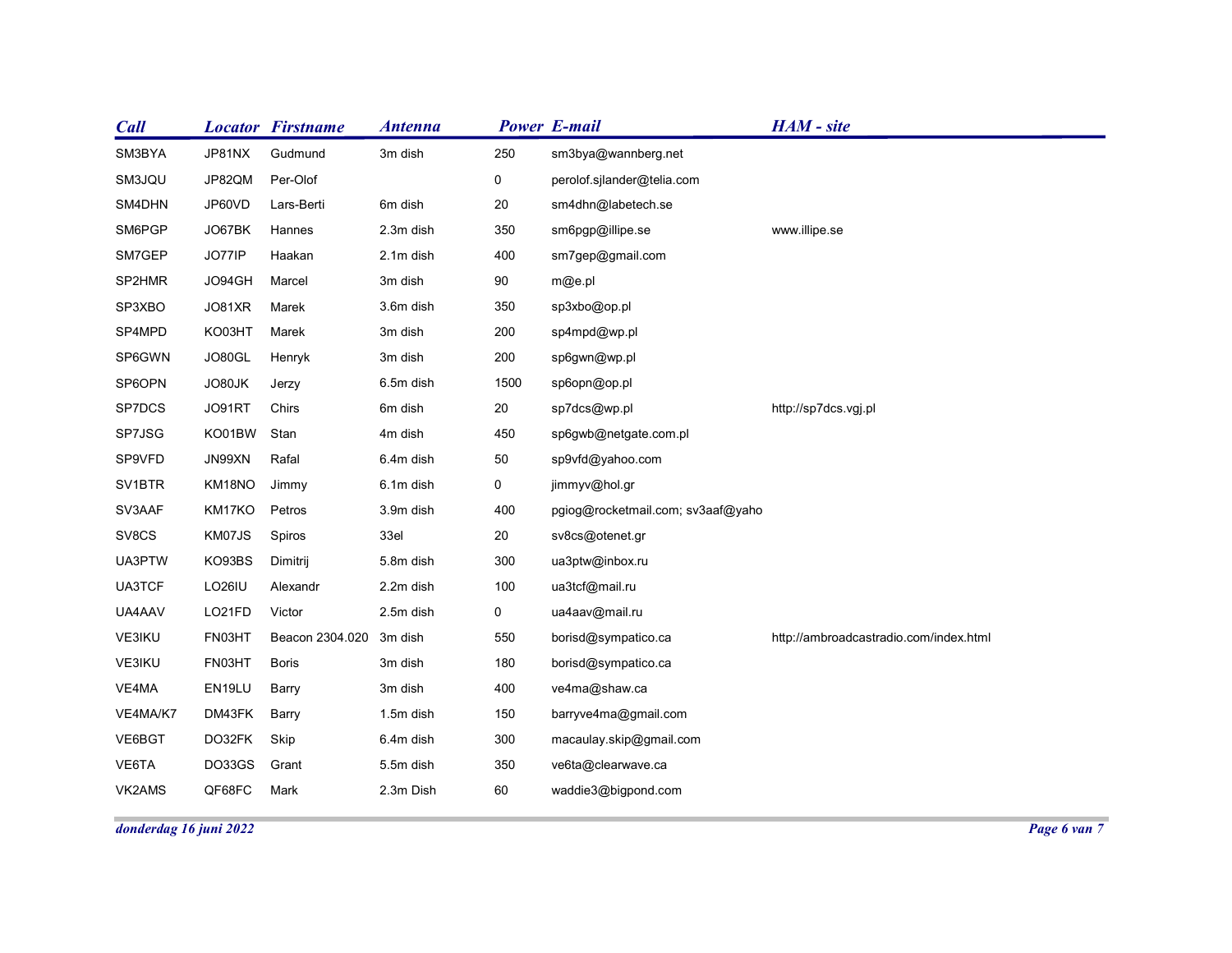| HAM - site<br><b>Locator Firstname</b><br><b>Power E-mail</b><br><b>Antenna</b><br>JP81NX<br>Gudmund<br>3m dish<br>250<br>sm3bya@wannberg.net<br>JP82QM<br>Per-Olof<br>$\mathbf 0$<br>perolof.sjlander@telia.com<br>JP60VD<br>6m dish<br>20<br>sm4dhn@labetech.se<br>Lars-Berti<br>JO67BK<br>Hannes<br>350<br>2.3m dish<br>sm6pgp@illipe.se<br>www.illipe.se<br>JO77IP<br>Haakan<br>2.1m dish<br>400<br>sm7gep@gmail.com<br>JO94GH<br>3m dish<br>90<br>Marcel<br>m@e.pl<br>350<br>JO81XR<br>3.6m dish<br>sp3xbo@op.pl<br>Marek<br>KO03HT<br>$200\,$<br>Marek<br>3m dish<br>sp4mpd@wp.pl<br>$200\,$<br>JO80GL<br>3m dish<br>Henryk<br>sp6gwn@wp.pl<br>1500<br>sp6opn@op.pl<br>6.5m dish<br>JO80JK<br>Jerzy<br>JO91RT<br>20<br>Chirs<br>6m dish<br>sp7dcs@wp.pl<br>http://sp7dcs.vgj.pl<br>KO01BW Stan<br>4m dish<br>450<br>sp6gwb@netgate.com.pl<br>JN99XN<br>Rafal<br>$50\,$<br>6.4m dish<br>sp9vfd@yahoo.com<br>KM18NO<br>Jimmy<br>$\overline{0}$<br>6.1m dish<br>jimmyv@hol.gr<br>KM17KO<br>Petros<br>400<br>pgiog@rocketmail.com; sv3aaf@yaho<br>3.9m dish<br>KM07JS<br>Spiros<br>33el<br>20<br>sv8cs@otenet.gr<br>KO93BS<br>Dimitrij<br>300<br>ua3ptw@inbox.ru<br>5.8m dish<br>LO26IU<br>Alexandr<br>100<br>ua3tcf@mail.ru<br>2.2m dish<br>LO21FD<br>Victor<br>2.5m dish<br>$\overline{0}$<br>ua4aav@mail.ru<br>Beacon 2304.020 3m dish<br>550<br>FN03HT<br>borisd@sympatico.ca<br>http://ambroadcastradio.com/index.html<br>FN03HT<br>Boris<br>3m dish<br>180<br>borisd@sympatico.ca<br>EN19LU<br>Barry<br>3m dish<br>400<br>ve4ma@shaw.ca<br>150<br>barryve4ma@gmail.com<br>DM43FK<br>1.5m dish<br>Barry<br>DO32FK<br>Skip<br>6.4m dish<br>300<br>macaulay.skip@gmail.com<br>DO33GS<br>Grant<br>5.5m dish<br>350<br>ve6ta@clearwave.ca<br>60<br>QF68FC<br>2.3m Dish<br>waddie3@bigpond.com<br>Mark |  |  |  |  |
|----------------------------------------------------------------------------------------------------------------------------------------------------------------------------------------------------------------------------------------------------------------------------------------------------------------------------------------------------------------------------------------------------------------------------------------------------------------------------------------------------------------------------------------------------------------------------------------------------------------------------------------------------------------------------------------------------------------------------------------------------------------------------------------------------------------------------------------------------------------------------------------------------------------------------------------------------------------------------------------------------------------------------------------------------------------------------------------------------------------------------------------------------------------------------------------------------------------------------------------------------------------------------------------------------------------------------------------------------------------------------------------------------------------------------------------------------------------------------------------------------------------------------------------------------------------------------------------------------------------------------------------------------------------------------------------------------------------------------------------------------------------------------------------------------------|--|--|--|--|
|                                                                                                                                                                                                                                                                                                                                                                                                                                                                                                                                                                                                                                                                                                                                                                                                                                                                                                                                                                                                                                                                                                                                                                                                                                                                                                                                                                                                                                                                                                                                                                                                                                                                                                                                                                                                          |  |  |  |  |
|                                                                                                                                                                                                                                                                                                                                                                                                                                                                                                                                                                                                                                                                                                                                                                                                                                                                                                                                                                                                                                                                                                                                                                                                                                                                                                                                                                                                                                                                                                                                                                                                                                                                                                                                                                                                          |  |  |  |  |
| Call<br>SM3BYA<br>SM3JQU<br>SM4DHN<br>SM6PGP<br>SM7GEP<br>SP3XBO<br>SP4MPD<br>SP6GWN<br>SP6OPN<br>SP7DCS<br>SV1BTR<br>SV3AAF<br>UA3PTW<br>UA3TCF<br>UA4AAV<br>VE3IKU<br>VE3IKU<br>VE4MA<br>VE4MA/K7<br>VE6BGT<br>VE6TA<br>VK2AMS                                                                                                                                                                                                                                                                                                                                                                                                                                                                                                                                                                                                                                                                                                                                                                                                                                                                                                                                                                                                                                                                                                                                                                                                                                                                                                                                                                                                                                                                                                                                                                         |  |  |  |  |
|                                                                                                                                                                                                                                                                                                                                                                                                                                                                                                                                                                                                                                                                                                                                                                                                                                                                                                                                                                                                                                                                                                                                                                                                                                                                                                                                                                                                                                                                                                                                                                                                                                                                                                                                                                                                          |  |  |  |  |
|                                                                                                                                                                                                                                                                                                                                                                                                                                                                                                                                                                                                                                                                                                                                                                                                                                                                                                                                                                                                                                                                                                                                                                                                                                                                                                                                                                                                                                                                                                                                                                                                                                                                                                                                                                                                          |  |  |  |  |
|                                                                                                                                                                                                                                                                                                                                                                                                                                                                                                                                                                                                                                                                                                                                                                                                                                                                                                                                                                                                                                                                                                                                                                                                                                                                                                                                                                                                                                                                                                                                                                                                                                                                                                                                                                                                          |  |  |  |  |
| SP2HMR<br>SP7JSG<br>SP9VFD<br>SV8CS                                                                                                                                                                                                                                                                                                                                                                                                                                                                                                                                                                                                                                                                                                                                                                                                                                                                                                                                                                                                                                                                                                                                                                                                                                                                                                                                                                                                                                                                                                                                                                                                                                                                                                                                                                      |  |  |  |  |
|                                                                                                                                                                                                                                                                                                                                                                                                                                                                                                                                                                                                                                                                                                                                                                                                                                                                                                                                                                                                                                                                                                                                                                                                                                                                                                                                                                                                                                                                                                                                                                                                                                                                                                                                                                                                          |  |  |  |  |
|                                                                                                                                                                                                                                                                                                                                                                                                                                                                                                                                                                                                                                                                                                                                                                                                                                                                                                                                                                                                                                                                                                                                                                                                                                                                                                                                                                                                                                                                                                                                                                                                                                                                                                                                                                                                          |  |  |  |  |
|                                                                                                                                                                                                                                                                                                                                                                                                                                                                                                                                                                                                                                                                                                                                                                                                                                                                                                                                                                                                                                                                                                                                                                                                                                                                                                                                                                                                                                                                                                                                                                                                                                                                                                                                                                                                          |  |  |  |  |
|                                                                                                                                                                                                                                                                                                                                                                                                                                                                                                                                                                                                                                                                                                                                                                                                                                                                                                                                                                                                                                                                                                                                                                                                                                                                                                                                                                                                                                                                                                                                                                                                                                                                                                                                                                                                          |  |  |  |  |
|                                                                                                                                                                                                                                                                                                                                                                                                                                                                                                                                                                                                                                                                                                                                                                                                                                                                                                                                                                                                                                                                                                                                                                                                                                                                                                                                                                                                                                                                                                                                                                                                                                                                                                                                                                                                          |  |  |  |  |
|                                                                                                                                                                                                                                                                                                                                                                                                                                                                                                                                                                                                                                                                                                                                                                                                                                                                                                                                                                                                                                                                                                                                                                                                                                                                                                                                                                                                                                                                                                                                                                                                                                                                                                                                                                                                          |  |  |  |  |
|                                                                                                                                                                                                                                                                                                                                                                                                                                                                                                                                                                                                                                                                                                                                                                                                                                                                                                                                                                                                                                                                                                                                                                                                                                                                                                                                                                                                                                                                                                                                                                                                                                                                                                                                                                                                          |  |  |  |  |
|                                                                                                                                                                                                                                                                                                                                                                                                                                                                                                                                                                                                                                                                                                                                                                                                                                                                                                                                                                                                                                                                                                                                                                                                                                                                                                                                                                                                                                                                                                                                                                                                                                                                                                                                                                                                          |  |  |  |  |
|                                                                                                                                                                                                                                                                                                                                                                                                                                                                                                                                                                                                                                                                                                                                                                                                                                                                                                                                                                                                                                                                                                                                                                                                                                                                                                                                                                                                                                                                                                                                                                                                                                                                                                                                                                                                          |  |  |  |  |
|                                                                                                                                                                                                                                                                                                                                                                                                                                                                                                                                                                                                                                                                                                                                                                                                                                                                                                                                                                                                                                                                                                                                                                                                                                                                                                                                                                                                                                                                                                                                                                                                                                                                                                                                                                                                          |  |  |  |  |
|                                                                                                                                                                                                                                                                                                                                                                                                                                                                                                                                                                                                                                                                                                                                                                                                                                                                                                                                                                                                                                                                                                                                                                                                                                                                                                                                                                                                                                                                                                                                                                                                                                                                                                                                                                                                          |  |  |  |  |
|                                                                                                                                                                                                                                                                                                                                                                                                                                                                                                                                                                                                                                                                                                                                                                                                                                                                                                                                                                                                                                                                                                                                                                                                                                                                                                                                                                                                                                                                                                                                                                                                                                                                                                                                                                                                          |  |  |  |  |
|                                                                                                                                                                                                                                                                                                                                                                                                                                                                                                                                                                                                                                                                                                                                                                                                                                                                                                                                                                                                                                                                                                                                                                                                                                                                                                                                                                                                                                                                                                                                                                                                                                                                                                                                                                                                          |  |  |  |  |
|                                                                                                                                                                                                                                                                                                                                                                                                                                                                                                                                                                                                                                                                                                                                                                                                                                                                                                                                                                                                                                                                                                                                                                                                                                                                                                                                                                                                                                                                                                                                                                                                                                                                                                                                                                                                          |  |  |  |  |
|                                                                                                                                                                                                                                                                                                                                                                                                                                                                                                                                                                                                                                                                                                                                                                                                                                                                                                                                                                                                                                                                                                                                                                                                                                                                                                                                                                                                                                                                                                                                                                                                                                                                                                                                                                                                          |  |  |  |  |
|                                                                                                                                                                                                                                                                                                                                                                                                                                                                                                                                                                                                                                                                                                                                                                                                                                                                                                                                                                                                                                                                                                                                                                                                                                                                                                                                                                                                                                                                                                                                                                                                                                                                                                                                                                                                          |  |  |  |  |
|                                                                                                                                                                                                                                                                                                                                                                                                                                                                                                                                                                                                                                                                                                                                                                                                                                                                                                                                                                                                                                                                                                                                                                                                                                                                                                                                                                                                                                                                                                                                                                                                                                                                                                                                                                                                          |  |  |  |  |
|                                                                                                                                                                                                                                                                                                                                                                                                                                                                                                                                                                                                                                                                                                                                                                                                                                                                                                                                                                                                                                                                                                                                                                                                                                                                                                                                                                                                                                                                                                                                                                                                                                                                                                                                                                                                          |  |  |  |  |
|                                                                                                                                                                                                                                                                                                                                                                                                                                                                                                                                                                                                                                                                                                                                                                                                                                                                                                                                                                                                                                                                                                                                                                                                                                                                                                                                                                                                                                                                                                                                                                                                                                                                                                                                                                                                          |  |  |  |  |
|                                                                                                                                                                                                                                                                                                                                                                                                                                                                                                                                                                                                                                                                                                                                                                                                                                                                                                                                                                                                                                                                                                                                                                                                                                                                                                                                                                                                                                                                                                                                                                                                                                                                                                                                                                                                          |  |  |  |  |
|                                                                                                                                                                                                                                                                                                                                                                                                                                                                                                                                                                                                                                                                                                                                                                                                                                                                                                                                                                                                                                                                                                                                                                                                                                                                                                                                                                                                                                                                                                                                                                                                                                                                                                                                                                                                          |  |  |  |  |
|                                                                                                                                                                                                                                                                                                                                                                                                                                                                                                                                                                                                                                                                                                                                                                                                                                                                                                                                                                                                                                                                                                                                                                                                                                                                                                                                                                                                                                                                                                                                                                                                                                                                                                                                                                                                          |  |  |  |  |
|                                                                                                                                                                                                                                                                                                                                                                                                                                                                                                                                                                                                                                                                                                                                                                                                                                                                                                                                                                                                                                                                                                                                                                                                                                                                                                                                                                                                                                                                                                                                                                                                                                                                                                                                                                                                          |  |  |  |  |
|                                                                                                                                                                                                                                                                                                                                                                                                                                                                                                                                                                                                                                                                                                                                                                                                                                                                                                                                                                                                                                                                                                                                                                                                                                                                                                                                                                                                                                                                                                                                                                                                                                                                                                                                                                                                          |  |  |  |  |
|                                                                                                                                                                                                                                                                                                                                                                                                                                                                                                                                                                                                                                                                                                                                                                                                                                                                                                                                                                                                                                                                                                                                                                                                                                                                                                                                                                                                                                                                                                                                                                                                                                                                                                                                                                                                          |  |  |  |  |
|                                                                                                                                                                                                                                                                                                                                                                                                                                                                                                                                                                                                                                                                                                                                                                                                                                                                                                                                                                                                                                                                                                                                                                                                                                                                                                                                                                                                                                                                                                                                                                                                                                                                                                                                                                                                          |  |  |  |  |
| Page 6 van 7<br>donderdag 16 juni 2022                                                                                                                                                                                                                                                                                                                                                                                                                                                                                                                                                                                                                                                                                                                                                                                                                                                                                                                                                                                                                                                                                                                                                                                                                                                                                                                                                                                                                                                                                                                                                                                                                                                                                                                                                                   |  |  |  |  |